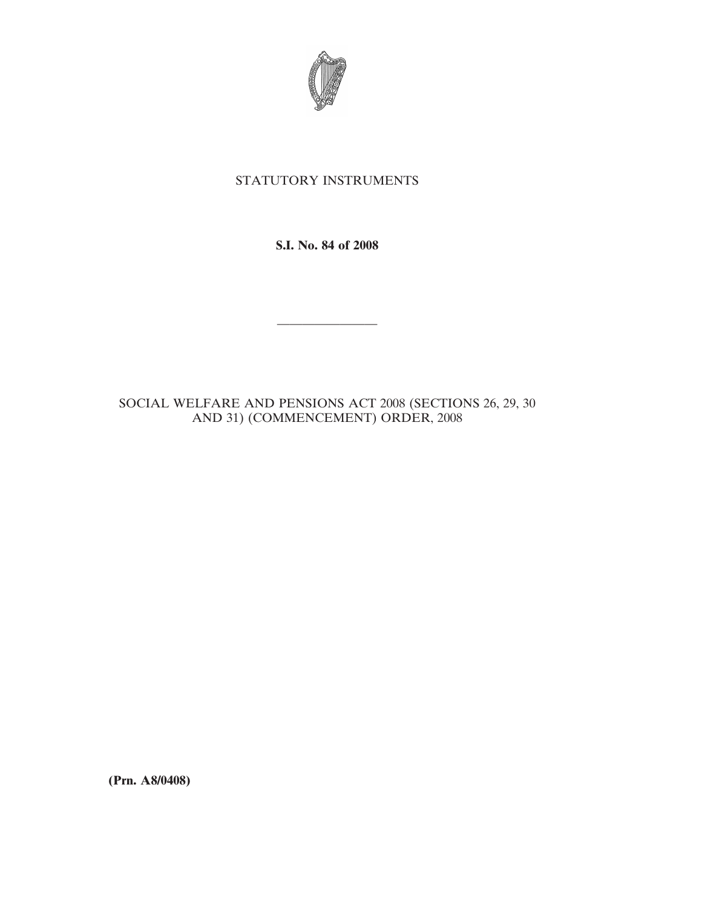

# STATUTORY INSTRUMENTS

**S.I. No. 84 of 2008**

————————

SOCIAL WELFARE AND PENSIONS ACT 2008 (SECTIONS 26, 29, 30 AND 31) (COMMENCEMENT) ORDER, 2008

**(Prn. A8/0408)**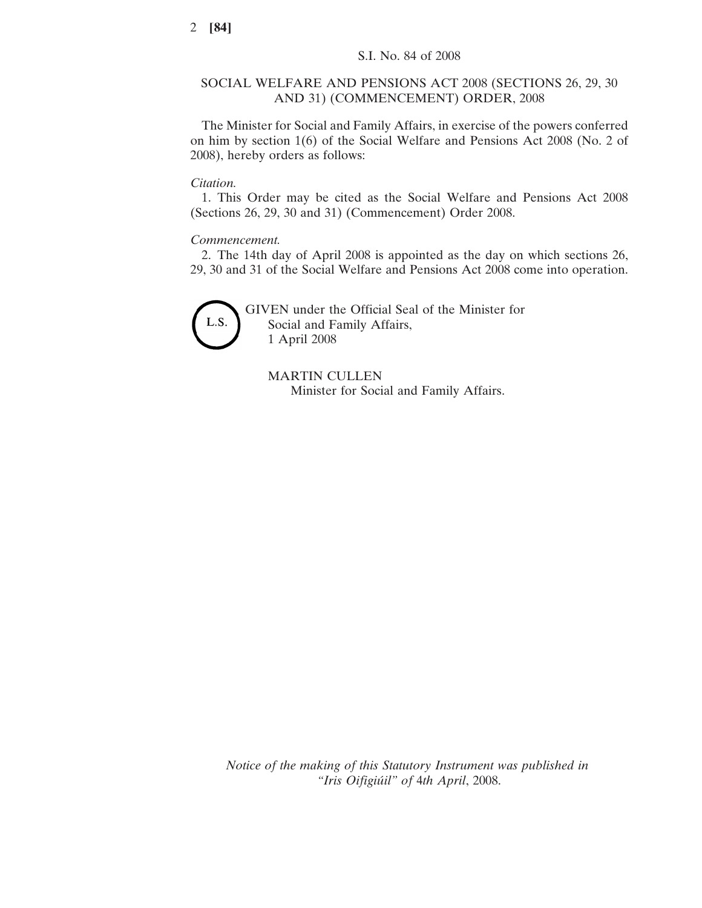## SOCIAL WELFARE AND PENSIONS ACT 2008 (SECTIONS 26, 29, 30 AND 31) (COMMENCEMENT) ORDER, 2008

The Minister for Social and Family Affairs, in exercise of the powers conferred on him by section 1(6) of the Social Welfare and Pensions Act 2008 (No. 2 of 2008), hereby orders as follows:

# *Citation.*

1. This Order may be cited as the Social Welfare and Pensions Act 2008 (Sections 26, 29, 30 and 31) (Commencement) Order 2008.

#### *Commencement.*

2. The 14th day of April 2008 is appointed as the day on which sections 26, 29, 30 and 31 of the Social Welfare and Pensions Act 2008 come into operation.



GIVEN under the Official Seal of the Minister for Social and Family Affairs, 1 April 2008

MARTIN CULLEN Minister for Social and Family Affairs.

*Notice of the making of this Statutory Instrument was published in "Iris Oifigiu´il" of* 4*th April*, 2008.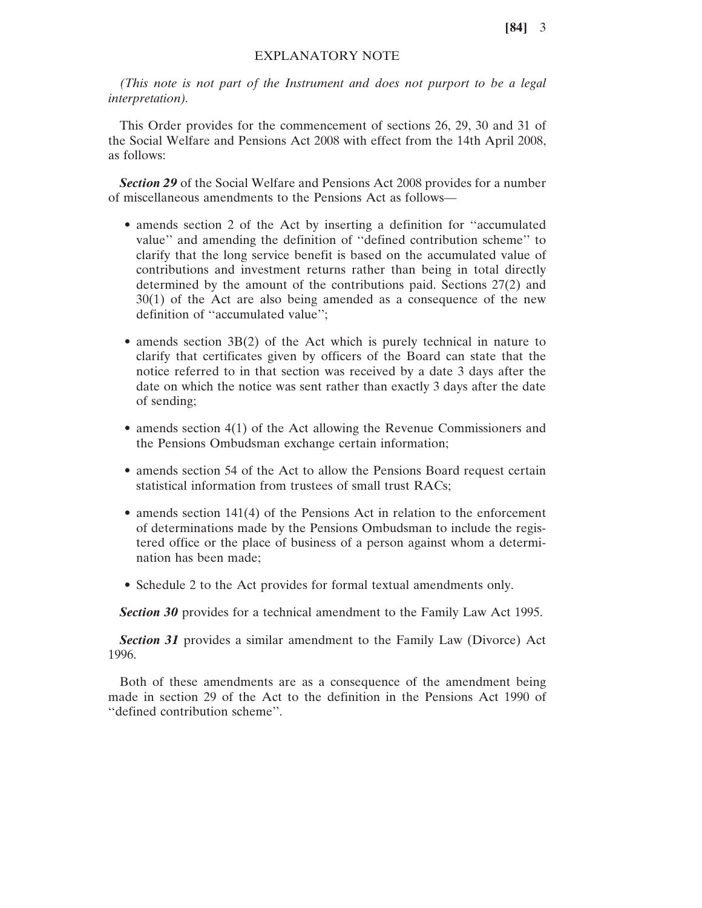**[84]** 3

## EXPLANATORY NOTE

*(This note is not part of the Instrument and does not purport to be a legal interpretation).*

This Order provides for the commencement of sections 26, 29, 30 and 31 of the Social Welfare and Pensions Act 2008 with effect from the 14th April 2008, as follows:

*Section 29* of the Social Welfare and Pensions Act 2008 provides for a number of miscellaneous amendments to the Pensions Act as follows—

- amends section 2 of the Act by inserting a definition for ''accumulated value'' and amending the definition of ''defined contribution scheme'' to clarify that the long service benefit is based on the accumulated value of contributions and investment returns rather than being in total directly determined by the amount of the contributions paid. Sections 27(2) and 30(1) of the Act are also being amended as a consequence of the new definition of ''accumulated value'';
- amends section 3B(2) of the Act which is purely technical in nature to clarify that certificates given by officers of the Board can state that the notice referred to in that section was received by a date 3 days after the date on which the notice was sent rather than exactly 3 days after the date of sending;
- amends section 4(1) of the Act allowing the Revenue Commissioners and the Pensions Ombudsman exchange certain information;
- amends section 54 of the Act to allow the Pensions Board request certain statistical information from trustees of small trust RACs;
- amends section 141(4) of the Pensions Act in relation to the enforcement of determinations made by the Pensions Ombudsman to include the registered office or the place of business of a person against whom a determination has been made;
- Schedule 2 to the Act provides for formal textual amendments only.

**Section 30** provides for a technical amendment to the Family Law Act 1995.

*Section 31* provides a similar amendment to the Family Law (Divorce) Act 1996.

Both of these amendments are as a consequence of the amendment being made in section 29 of the Act to the definition in the Pensions Act 1990 of ''defined contribution scheme''.